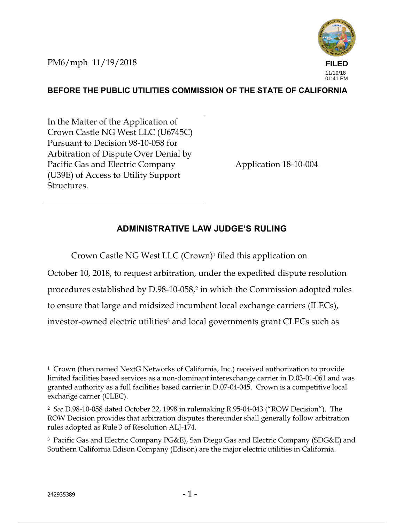PM6/mph 11/19/2018



## **BEFORE THE PUBLIC UTILITIES COMMISSION OF THE STATE OF CALIFORNIA**

In the Matter of the Application of Crown Castle NG West LLC (U6745C) Pursuant to Decision 98-10-058 for Arbitration of Dispute Over Denial by Pacific Gas and Electric Company (U39E) of Access to Utility Support Structures.

Application 18-10-004

### **ADMINISTRATIVE LAW JUDGE'S RULING**

Crown Castle NG West LLC (Crown)<sup>1</sup> filed this application on

October 10, 2018, to request arbitration, under the expedited dispute resolution procedures established by D.98-10-058,2 in which the Commission adopted rules to ensure that large and midsized incumbent local exchange carriers (ILECs), investor-owned electric utilities<sup>3</sup> and local governments grant CLECs such as

<sup>1</sup> Crown (then named NextG Networks of California, Inc.) received authorization to provide limited facilities based services as a non-dominant interexchange carrier in D.03-01-061 and was granted authority as a full facilities based carrier in D.07-04-045. Crown is a competitive local exchange carrier (CLEC).

<sup>2</sup> *See* D.98-10-058 dated October 22, 1998 in rulemaking R.95-04-043 ("ROW Decision"). The ROW Decision provides that arbitration disputes thereunder shall generally follow arbitration rules adopted as Rule 3 of Resolution ALJ-174.

<sup>3</sup> Pacific Gas and Electric Company PG&E), San Diego Gas and Electric Company (SDG&E) and Southern California Edison Company (Edison) are the major electric utilities in California.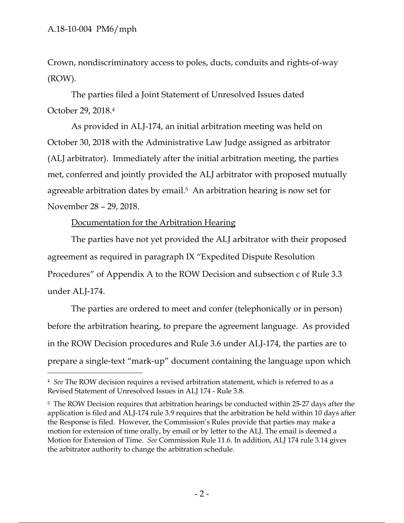Crown, nondiscriminatory access to poles, ducts, conduits and rights-of-way (ROW).

 The parties filed a Joint Statement of Unresolved Issues dated October 29, 2018.<sup>4</sup>

 As provided in ALJ-174, an initial arbitration meeting was held on October 30, 2018 with the Administrative Law Judge assigned as arbitrator (ALJ arbitrator). Immediately after the initial arbitration meeting, the parties met, conferred and jointly provided the ALJ arbitrator with proposed mutually agreeable arbitration dates by email.5 An arbitration hearing is now set for November 28 – 29, 2018.

Documentation for the Arbitration Hearing

The parties have not yet provided the ALJ arbitrator with their proposed agreement as required in paragraph IX "Expedited Dispute Resolution Procedures" of Appendix A to the ROW Decision and subsection c of Rule 3.3 under ALJ-174.

The parties are ordered to meet and confer (telephonically or in person) before the arbitration hearing, to prepare the agreement language. As provided in the ROW Decision procedures and Rule 3.6 under ALJ-174, the parties are to prepare a single-text "mark-up" document containing the language upon which

<sup>-</sup><sup>4</sup> *See* The ROW decision requires a revised arbitration statement, which is referred to as a Revised Statement of Unresolved Issues in ALJ 174 - Rule 3.8.

<sup>&</sup>lt;sup>5</sup> The ROW Decision requires that arbitration hearings be conducted within 25-27 days after the application is filed and ALJ-174 rule 3.9 requires that the arbitration be held within 10 days after the Response is filed. However, the Commission's Rules provide that parties may make a motion for extension of time orally, by email or by letter to the ALJ. The email is deemed a Motion for Extension of Time. *See* Commission Rule 11.6. In addition, ALJ 174 rule 3.14 gives the arbitrator authority to change the arbitration schedule.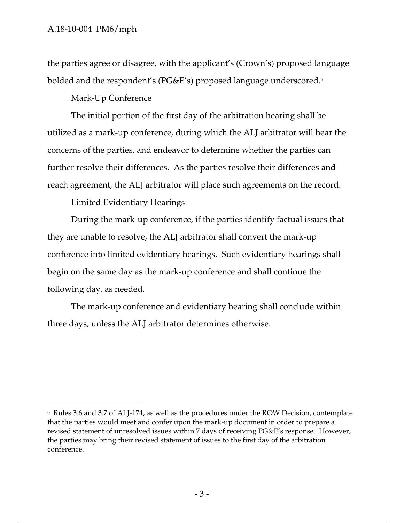the parties agree or disagree, with the applicant's (Crown's) proposed language bolded and the respondent's (PG&E's) proposed language underscored.6

#### Mark-Up Conference

The initial portion of the first day of the arbitration hearing shall be utilized as a mark-up conference, during which the ALJ arbitrator will hear the concerns of the parties, and endeavor to determine whether the parties can further resolve their differences. As the parties resolve their differences and reach agreement, the ALJ arbitrator will place such agreements on the record.

#### Limited Evidentiary Hearings

During the mark-up conference, if the parties identify factual issues that they are unable to resolve, the ALJ arbitrator shall convert the mark-up conference into limited evidentiary hearings. Such evidentiary hearings shall begin on the same day as the mark-up conference and shall continue the following day, as needed.

The mark-up conference and evidentiary hearing shall conclude within three days, unless the ALJ arbitrator determines otherwise.

<sup>6</sup> Rules 3.6 and 3.7 of ALJ-174, as well as the procedures under the ROW Decision, contemplate that the parties would meet and confer upon the mark-up document in order to prepare a revised statement of unresolved issues within 7 days of receiving PG&E's response. However, the parties may bring their revised statement of issues to the first day of the arbitration conference.